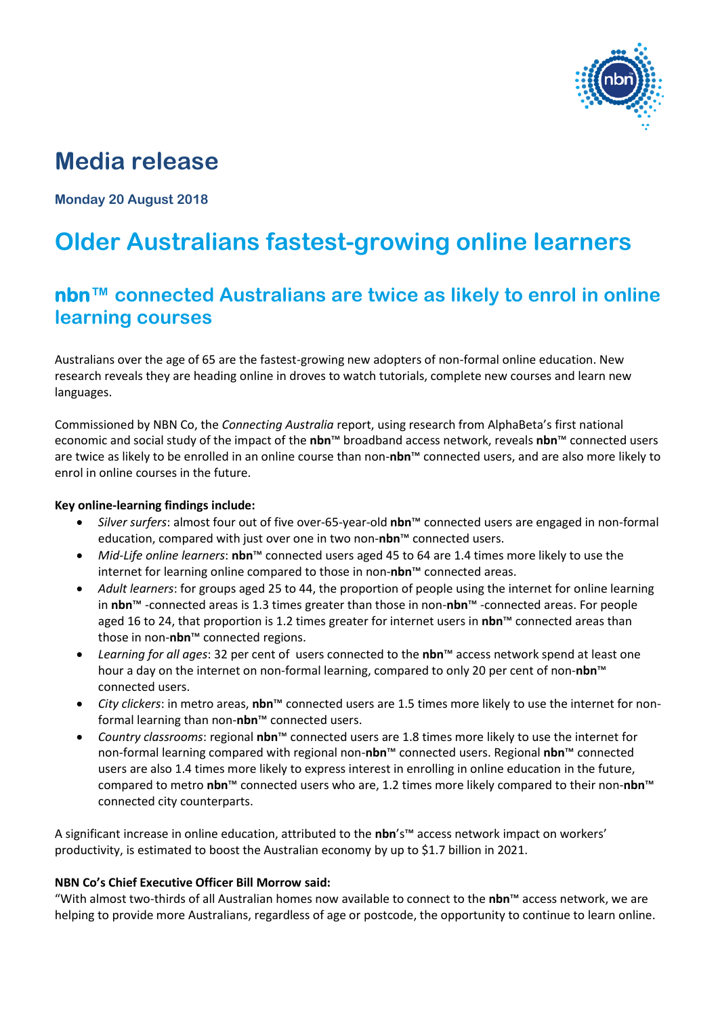

# **Media release**

**Monday 20 August 2018**

# **Older Australians fastest-growing online learners**

## **nbn™ connected Australians are twice as likely to enrol in online learning courses**

Australians over the age of 65 are the fastest-growing new adopters of non-formal online education. New research reveals they are heading online in droves to watch tutorials, complete new courses and learn new languages.

Commissioned by NBN Co, the *Connecting Australia* report, using research from AlphaBeta's first national economic and social study of the impact of the **nbn**™ broadband access network, reveals **nbn**™ connected users are twice as likely to be enrolled in an online course than non-**nbn**™ connected users, and are also more likely to enrol in online courses in the future.

#### **Key online-learning findings include:**

- *Silver surfers*: almost four out of five over-65-year-old **nbn**™ connected users are engaged in non-formal education, compared with just over one in two non-**nbn**™ connected users.
- *Mid-Life online learners*: **nbn**™ connected users aged 45 to 64 are 1.4 times more likely to use the internet for learning online compared to those in non-**nbn**™ connected areas.
- *Adult learners*: for groups aged 25 to 44, the proportion of people using the internet for online learning in **nbn**™ -connected areas is 1.3 times greater than those in non-**nbn**™ -connected areas. For people aged 16 to 24, that proportion is 1.2 times greater for internet users in **nbn**™ connected areas than those in non-**nbn**™ connected regions.
- *Learning for all ages*: 32 per cent of users connected to the **nbn**™ access network spend at least one hour a day on the internet on non-formal learning, compared to only 20 per cent of non-**nbn**™ connected users.
- *City clickers*: in metro areas, **nbn**™ connected users are 1.5 times more likely to use the internet for nonformal learning than non-**nbn**™ connected users.
- *Country classrooms*: regional **nbn**™ connected users are 1.8 times more likely to use the internet for non-formal learning compared with regional non-**nbn**™ connected users. Regional **nbn**™ connected users are also 1.4 times more likely to express interest in enrolling in online education in the future, compared to metro **nbn**™ connected users who are, 1.2 times more likely compared to their non-**nbn**™ connected city counterparts.

A significant increase in online education, attributed to the **nbn**'s™ access network impact on workers' productivity, is estimated to boost the Australian economy by up to \$1.7 billion in 2021.

#### **NBN Co's Chief Executive Officer Bill Morrow said:**

"With almost two-thirds of all Australian homes now available to connect to the **nbn**™ access network, we are helping to provide more Australians, regardless of age or postcode, the opportunity to continue to learn online.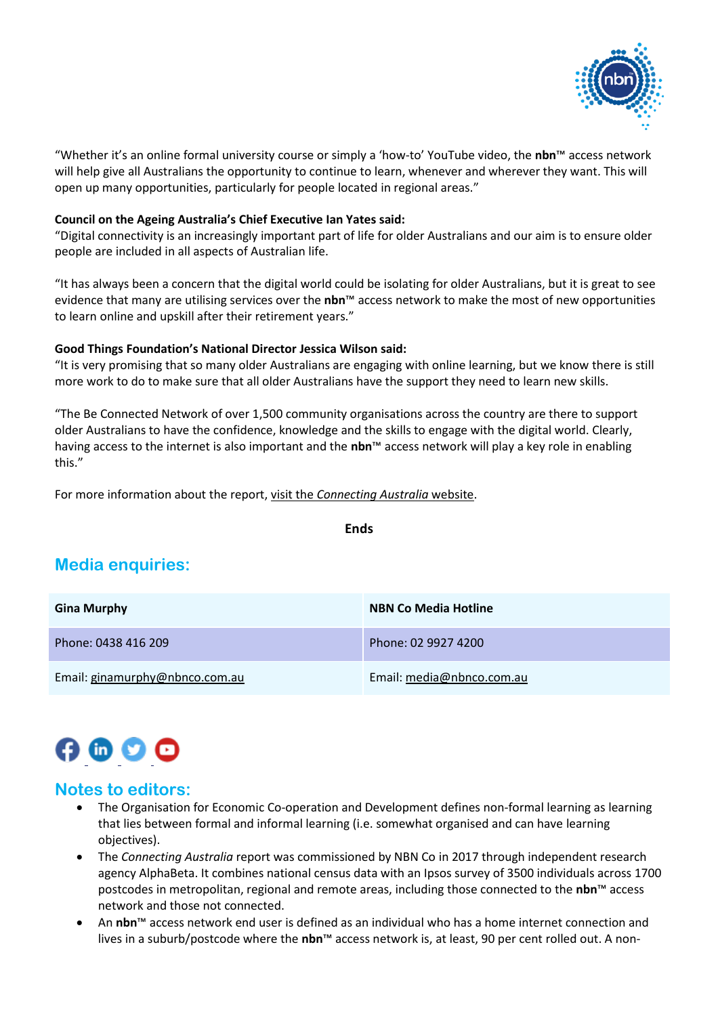

"Whether it's an online formal university course or simply a 'how-to' YouTube video, the **nbn**™ access network will help give all Australians the opportunity to continue to learn, whenever and wherever they want. This will open up many opportunities, particularly for people located in regional areas."

#### **Council on the Ageing Australia's Chief Executive Ian Yates said:**

"Digital connectivity is an increasingly important part of life for older Australians and our aim is to ensure older people are included in all aspects of Australian life.

"It has always been a concern that the digital world could be isolating for older Australians, but it is great to see evidence that many are utilising services over the **nbn**™ access network to make the most of new opportunities to learn online and upskill after their retirement years."

#### **Good Things Foundation's National Director Jessica Wilson said:**

"It is very promising that so many older Australians are engaging with online learning, but we know there is still more work to do to make sure that all older Australians have the support they need to learn new skills.

"The Be Connected Network of over 1,500 community organisations across the country are there to support older Australians to have the confidence, knowledge and the skills to engage with the digital world. Clearly, having access to the internet is also important and the **nbn**™ access network will play a key role in enabling this."

For more information about the report, visit the *[Connecting Australia](http://www.connectingaustralia.com.au/)* website.

**Ends**

### **Media enquiries:**

| <b>Gina Murphy</b>             | <b>NBN Co Media Hotline</b> |
|--------------------------------|-----------------------------|
| Phone: 0438 416 209            | Phone: 02 9927 4200         |
| Email: ginamurphy@nbnco.com.au | Email: media@nbnco.com.au   |

# $\boldsymbol{\Theta} \bullet \boldsymbol{\Theta} \bullet$

#### **Notes to editors:**

- The Organisation for Economic Co-operation and Development defines non-formal learning as learning that lies between formal and informal learning (i.e. somewhat organised and can have learning objectives).
- The *Connecting Australia* report was commissioned by NBN Co in 2017 through independent research agency AlphaBeta. It combines national census data with an Ipsos survey of 3500 individuals across 1700 postcodes in metropolitan, regional and remote areas, including those connected to the **nbn**™ access network and those not connected.
- An **nbn**™ access network end user is defined as an individual who has a home internet connection and lives in a suburb/postcode where the **nbn**™ access network is, at least, 90 per cent rolled out. A non-